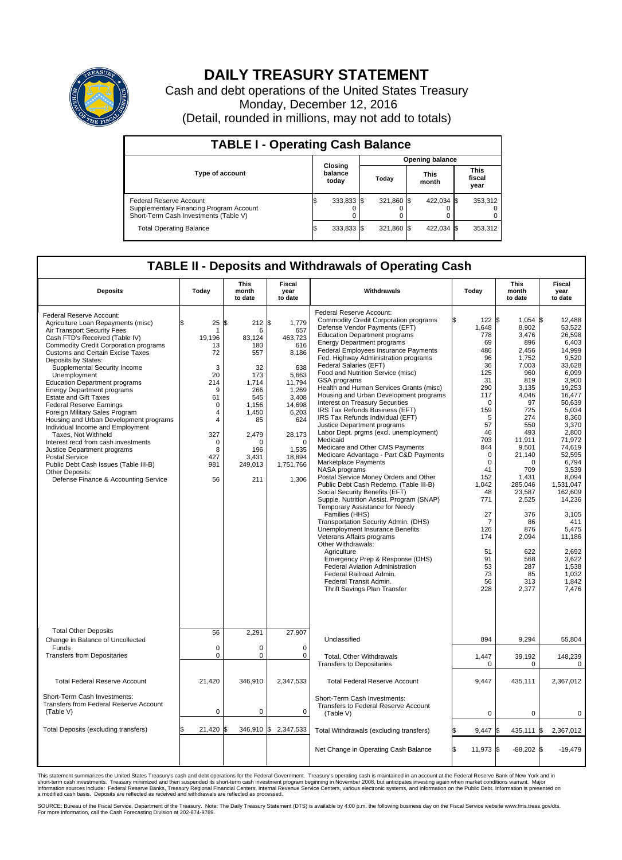

## **DAILY TREASURY STATEMENT**

Cash and debt operations of the United States Treasury Monday, December 12, 2016 (Detail, rounded in millions, may not add to totals)

| <b>TABLE I - Operating Cash Balance</b>                                                                     |                             |            |                        |            |                      |            |                               |         |  |  |
|-------------------------------------------------------------------------------------------------------------|-----------------------------|------------|------------------------|------------|----------------------|------------|-------------------------------|---------|--|--|
|                                                                                                             | Closing<br>balance<br>today |            | <b>Opening balance</b> |            |                      |            |                               |         |  |  |
| <b>Type of account</b>                                                                                      |                             |            | Today                  |            | <b>This</b><br>month |            | <b>This</b><br>fiscal<br>year |         |  |  |
| Federal Reserve Account<br>Supplementary Financing Program Account<br>Short-Term Cash Investments (Table V) |                             | 333,833 \$ |                        | 321,860 \$ |                      | 422,034 \$ |                               | 353,312 |  |  |
| <b>Total Operating Balance</b>                                                                              |                             | 333,833 \$ |                        | 321,860 \$ |                      | 422,034 \$ |                               | 353,312 |  |  |

## **TABLE II - Deposits and Withdrawals of Operating Cash**

| <b>Deposits</b>                                                                                                                                                                                                                                                                                                                                                                                                                                                                                                                                                                                                                                                                                                                                                                      | Today                                                                                                                                                  | <b>This</b><br>month<br>to date                                                                                                                     | <b>Fiscal</b><br>year<br>to date                                                                                                                                             | Withdrawals                                                                                                                                                                                                                                                                                                                                                                                                                                                                                                                                                                                                                                                                                                                                                                                                                                                                                                                                                                                                                                                                                                                                                                                                                                                                                        | Today                                                                                                                                                                                                                                                     | <b>This</b><br>month<br>to date                                                                                                                                                                                                                                                                 | Fiscal<br>year<br>to date                                                                                                                                                                                                                                                                                                                |
|--------------------------------------------------------------------------------------------------------------------------------------------------------------------------------------------------------------------------------------------------------------------------------------------------------------------------------------------------------------------------------------------------------------------------------------------------------------------------------------------------------------------------------------------------------------------------------------------------------------------------------------------------------------------------------------------------------------------------------------------------------------------------------------|--------------------------------------------------------------------------------------------------------------------------------------------------------|-----------------------------------------------------------------------------------------------------------------------------------------------------|------------------------------------------------------------------------------------------------------------------------------------------------------------------------------|----------------------------------------------------------------------------------------------------------------------------------------------------------------------------------------------------------------------------------------------------------------------------------------------------------------------------------------------------------------------------------------------------------------------------------------------------------------------------------------------------------------------------------------------------------------------------------------------------------------------------------------------------------------------------------------------------------------------------------------------------------------------------------------------------------------------------------------------------------------------------------------------------------------------------------------------------------------------------------------------------------------------------------------------------------------------------------------------------------------------------------------------------------------------------------------------------------------------------------------------------------------------------------------------------|-----------------------------------------------------------------------------------------------------------------------------------------------------------------------------------------------------------------------------------------------------------|-------------------------------------------------------------------------------------------------------------------------------------------------------------------------------------------------------------------------------------------------------------------------------------------------|------------------------------------------------------------------------------------------------------------------------------------------------------------------------------------------------------------------------------------------------------------------------------------------------------------------------------------------|
| Federal Reserve Account:<br>Agriculture Loan Repayments (misc)<br>Air Transport Security Fees<br>Cash FTD's Received (Table IV)<br>Commodity Credit Corporation programs<br><b>Customs and Certain Excise Taxes</b><br>Deposits by States:<br>Supplemental Security Income<br>Unemployment<br><b>Education Department programs</b><br><b>Energy Department programs</b><br><b>Estate and Gift Taxes</b><br><b>Federal Reserve Earnings</b><br>Foreign Military Sales Program<br>Housing and Urban Development programs<br>Individual Income and Employment<br>Taxes, Not Withheld<br>Interest recd from cash investments<br>Justice Department programs<br><b>Postal Service</b><br>Public Debt Cash Issues (Table III-B)<br>Other Deposits:<br>Defense Finance & Accounting Service | \$<br>25<br>-1<br>19,196<br>13<br>72<br>3<br>20<br>214<br>9<br>61<br>$\mathbf 0$<br>4<br>$\overline{4}$<br>327<br>$\mathbf 0$<br>8<br>427<br>981<br>56 | 212S<br>\$<br>6<br>83,124<br>180<br>557<br>32<br>173<br>1,714<br>266<br>545<br>1,156<br>1.450<br>85<br>2,479<br>O<br>196<br>3,431<br>249,013<br>211 | 1,779<br>657<br>463,723<br>616<br>8,186<br>638<br>5,663<br>11,794<br>1,269<br>3,408<br>14,698<br>6,203<br>624<br>28,173<br>$\Omega$<br>1.535<br>18,894<br>1,751,766<br>1,306 | Federal Reserve Account:<br><b>Commodity Credit Corporation programs</b><br>Defense Vendor Payments (EFT)<br><b>Education Department programs</b><br><b>Energy Department programs</b><br><b>Federal Employees Insurance Payments</b><br>Fed. Highway Administration programs<br>Federal Salaries (EFT)<br>Food and Nutrition Service (misc)<br>GSA programs<br>Health and Human Services Grants (misc)<br>Housing and Urban Development programs<br>Interest on Treasury Securities<br>IRS Tax Refunds Business (EFT)<br>IRS Tax Refunds Individual (EFT)<br>Justice Department programs<br>Labor Dept. prgms (excl. unemployment)<br>Medicaid<br>Medicare and Other CMS Payments<br>Medicare Advantage - Part C&D Payments<br>Marketplace Payments<br>NASA programs<br>Postal Service Money Orders and Other<br>Public Debt Cash Redemp. (Table III-B)<br>Social Security Benefits (EFT)<br>Supple. Nutrition Assist. Program (SNAP)<br>Temporary Assistance for Needy<br>Families (HHS)<br>Transportation Security Admin. (DHS)<br>Unemployment Insurance Benefits<br>Veterans Affairs programs<br>Other Withdrawals:<br>Agriculture<br>Emergency Prep & Response (DHS)<br>Federal Aviation Administration<br>Federal Railroad Admin.<br>Federal Transit Admin.<br>Thrift Savings Plan Transfer | 122S<br>1,648<br>778<br>69<br>486<br>96<br>36<br>125<br>31<br>290<br>117<br>$\Omega$<br>159<br>5<br>57<br>46<br>703<br>844<br>$\mathbf 0$<br>$\mathbf 0$<br>41<br>152<br>1,042<br>48<br>771<br>27<br>7<br>126<br>174<br>51<br>91<br>53<br>73<br>56<br>228 | $1,054$ \$<br>8,902<br>3.476<br>896<br>2.456<br>1,752<br>7.003<br>960<br>819<br>3,135<br>4,046<br>97<br>725<br>274<br>550<br>493<br>11,911<br>9,501<br>21,140<br>$\Omega$<br>709<br>1,431<br>285.046<br>23,587<br>2,525<br>376<br>86<br>876<br>2,094<br>622<br>568<br>287<br>85<br>313<br>2,377 | 12,488<br>53,522<br>26.598<br>6,403<br>14,999<br>9,520<br>33.628<br>6,099<br>3,900<br>19,253<br>16.477<br>50,639<br>5,034<br>8.360<br>3,370<br>2,800<br>71,972<br>74,619<br>52.595<br>6,794<br>3,539<br>8,094<br>1.531.047<br>162.609<br>14,236<br>3,105<br>411<br>5,475<br>11,186<br>2.692<br>3,622<br>1,538<br>1.032<br>1,842<br>7,476 |
| <b>Total Other Deposits</b><br>Change in Balance of Uncollected                                                                                                                                                                                                                                                                                                                                                                                                                                                                                                                                                                                                                                                                                                                      | 56                                                                                                                                                     | 2,291                                                                                                                                               | 27,907                                                                                                                                                                       | Unclassified                                                                                                                                                                                                                                                                                                                                                                                                                                                                                                                                                                                                                                                                                                                                                                                                                                                                                                                                                                                                                                                                                                                                                                                                                                                                                       | 894                                                                                                                                                                                                                                                       | 9,294                                                                                                                                                                                                                                                                                           | 55,804                                                                                                                                                                                                                                                                                                                                   |
| Funds<br><b>Transfers from Depositaries</b>                                                                                                                                                                                                                                                                                                                                                                                                                                                                                                                                                                                                                                                                                                                                          | $\mathbf 0$<br>$\pmb{0}$                                                                                                                               | $\Omega$<br>0                                                                                                                                       | $\Omega$<br>0                                                                                                                                                                | Total, Other Withdrawals<br><b>Transfers to Depositaries</b>                                                                                                                                                                                                                                                                                                                                                                                                                                                                                                                                                                                                                                                                                                                                                                                                                                                                                                                                                                                                                                                                                                                                                                                                                                       | 1,447<br>0                                                                                                                                                                                                                                                | 39,192<br>$\mathbf 0$                                                                                                                                                                                                                                                                           | 148,239<br>$\mathbf 0$                                                                                                                                                                                                                                                                                                                   |
| <b>Total Federal Reserve Account</b>                                                                                                                                                                                                                                                                                                                                                                                                                                                                                                                                                                                                                                                                                                                                                 | 21,420                                                                                                                                                 | 346,910                                                                                                                                             | 2,347,533                                                                                                                                                                    | <b>Total Federal Reserve Account</b>                                                                                                                                                                                                                                                                                                                                                                                                                                                                                                                                                                                                                                                                                                                                                                                                                                                                                                                                                                                                                                                                                                                                                                                                                                                               | 9,447                                                                                                                                                                                                                                                     | 435,111                                                                                                                                                                                                                                                                                         | 2,367,012                                                                                                                                                                                                                                                                                                                                |
| Short-Term Cash Investments:<br>Transfers from Federal Reserve Account<br>(Table V)                                                                                                                                                                                                                                                                                                                                                                                                                                                                                                                                                                                                                                                                                                  | $\pmb{0}$                                                                                                                                              | 0                                                                                                                                                   | $\mathbf 0$                                                                                                                                                                  | Short-Term Cash Investments:<br>Transfers to Federal Reserve Account<br>(Table V)                                                                                                                                                                                                                                                                                                                                                                                                                                                                                                                                                                                                                                                                                                                                                                                                                                                                                                                                                                                                                                                                                                                                                                                                                  | 0                                                                                                                                                                                                                                                         | $\Omega$                                                                                                                                                                                                                                                                                        | $\Omega$                                                                                                                                                                                                                                                                                                                                 |
| Total Deposits (excluding transfers)                                                                                                                                                                                                                                                                                                                                                                                                                                                                                                                                                                                                                                                                                                                                                 | 21,420<br>\$                                                                                                                                           | l\$                                                                                                                                                 | 346,910 \$ 2,347,533                                                                                                                                                         | Total Withdrawals (excluding transfers)                                                                                                                                                                                                                                                                                                                                                                                                                                                                                                                                                                                                                                                                                                                                                                                                                                                                                                                                                                                                                                                                                                                                                                                                                                                            | ß.<br>9.447                                                                                                                                                                                                                                               | 435,111<br>I\$                                                                                                                                                                                                                                                                                  | <b>S</b><br>2,367,012                                                                                                                                                                                                                                                                                                                    |
|                                                                                                                                                                                                                                                                                                                                                                                                                                                                                                                                                                                                                                                                                                                                                                                      |                                                                                                                                                        |                                                                                                                                                     |                                                                                                                                                                              | Net Change in Operating Cash Balance                                                                                                                                                                                                                                                                                                                                                                                                                                                                                                                                                                                                                                                                                                                                                                                                                                                                                                                                                                                                                                                                                                                                                                                                                                                               | Ŝ.<br>11,973 \$                                                                                                                                                                                                                                           | $-88,202$ \$                                                                                                                                                                                                                                                                                    | $-19.479$                                                                                                                                                                                                                                                                                                                                |

This statement summarizes the United States Treasury's cash and debt operations for the Federal Government. Treasury's operating cash is maintained in an account at the Federal Reserve Bank of New York and in<br>short-term ca

SOURCE: Bureau of the Fiscal Service, Department of the Treasury. Note: The Daily Treasury Statement (DTS) is available by 4:00 p.m. the following business day on the Fiscal Service website www.fms.treas.gov/dts.<br>For more